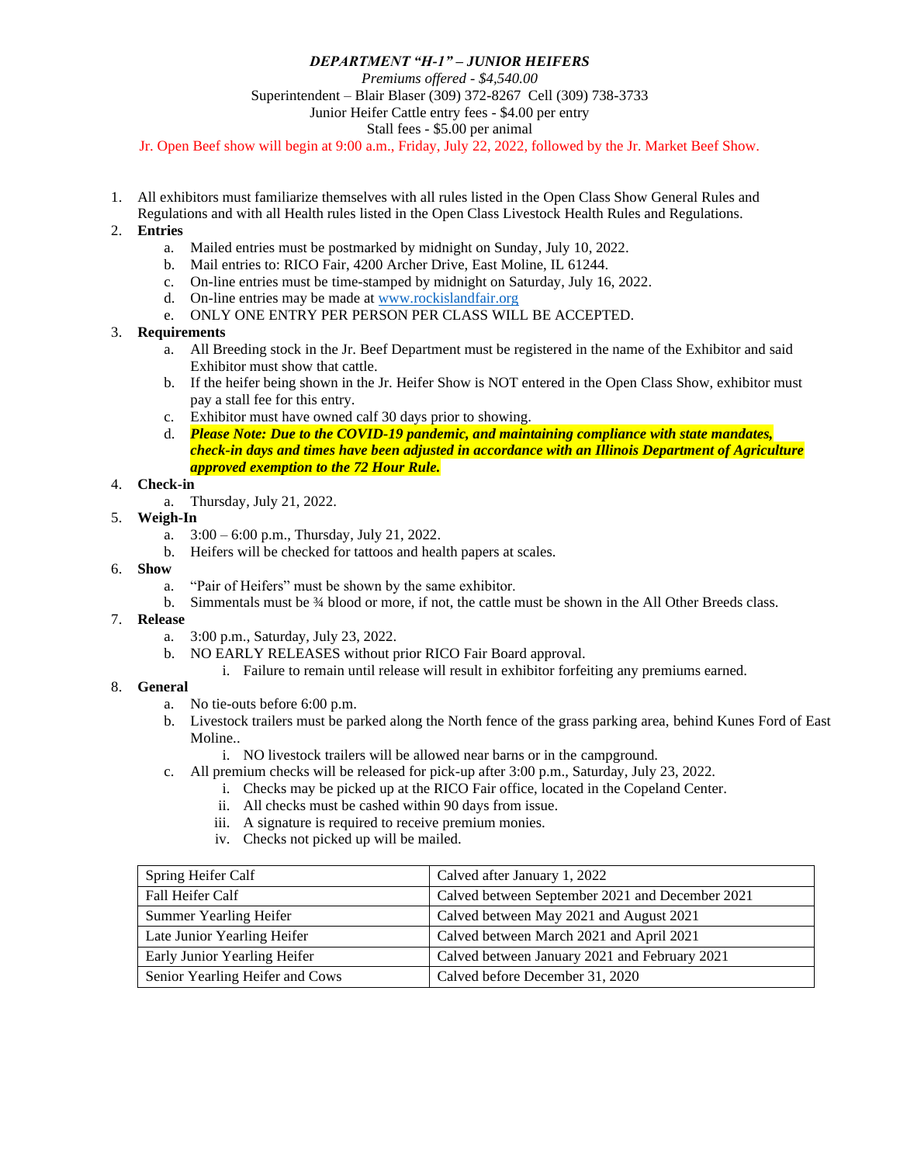## *DEPARTMENT "H-1" – JUNIOR HEIFERS*

*Premiums offered - \$4,540.00* Superintendent – Blair Blaser (309) 372-8267 Cell (309) 738-3733 Junior Heifer Cattle entry fees - \$4.00 per entry Stall fees - \$5.00 per animal

Jr. Open Beef show will begin at 9:00 a.m., Friday, July 22, 2022, followed by the Jr. Market Beef Show.

1. All exhibitors must familiarize themselves with all rules listed in the Open Class Show General Rules and Regulations and with all Health rules listed in the Open Class Livestock Health Rules and Regulations.

## 2. **Entries**

- a. Mailed entries must be postmarked by midnight on Sunday, July 10, 2022.
- b. Mail entries to: RICO Fair, 4200 Archer Drive, East Moline, IL 61244.
- c. On-line entries must be time-stamped by midnight on Saturday, July 16, 2022.
- d. On-line entries may be made at [www.rockislandfair.org](http://www.rockislandfair.org/)
- e. ONLY ONE ENTRY PER PERSON PER CLASS WILL BE ACCEPTED.

## 3. **Requirements**

- a. All Breeding stock in the Jr. Beef Department must be registered in the name of the Exhibitor and said Exhibitor must show that cattle.
- b. If the heifer being shown in the Jr. Heifer Show is NOT entered in the Open Class Show, exhibitor must pay a stall fee for this entry.
- c. Exhibitor must have owned calf 30 days prior to showing.
- d. *Please Note: Due to the COVID-19 pandemic, and maintaining compliance with state mandates, check-in days and times have been adjusted in accordance with an Illinois Department of Agriculture approved exemption to the 72 Hour Rule.*

## 4. **Check-in**

- a. Thursday, July 21, 2022.
- 5. **Weigh-In**
	- a.  $3:00 6:00$  p.m., Thursday, July 21, 2022.
	- b. Heifers will be checked for tattoos and health papers at scales.

#### 6. **Show**

- a. "Pair of Heifers" must be shown by the same exhibitor.
- b. Simmentals must be  $\frac{3}{4}$  blood or more, if not, the cattle must be shown in the All Other Breeds class.

#### 7. **Release**

- a. 3:00 p.m., Saturday, July 23, 2022.
- b. NO EARLY RELEASES without prior RICO Fair Board approval.
	- i. Failure to remain until release will result in exhibitor forfeiting any premiums earned.

## 8. **General**

- a. No tie-outs before 6:00 p.m.
- b. Livestock trailers must be parked along the North fence of the grass parking area, behind Kunes Ford of East Moline..
	- i. NO livestock trailers will be allowed near barns or in the campground.
- c. All premium checks will be released for pick-up after 3:00 p.m., Saturday, July 23, 2022.
	- i. Checks may be picked up at the RICO Fair office, located in the Copeland Center.
	- ii. All checks must be cashed within 90 days from issue.
	- iii. A signature is required to receive premium monies.
	- iv. Checks not picked up will be mailed.

| Spring Heifer Calf              | Calved after January 1, 2022                    |
|---------------------------------|-------------------------------------------------|
| Fall Heifer Calf                | Calved between September 2021 and December 2021 |
| <b>Summer Yearling Heifer</b>   | Calved between May 2021 and August 2021         |
| Late Junior Yearling Heifer     | Calved between March 2021 and April 2021        |
| Early Junior Yearling Heifer    | Calved between January 2021 and February 2021   |
| Senior Yearling Heifer and Cows | Calved before December 31, 2020                 |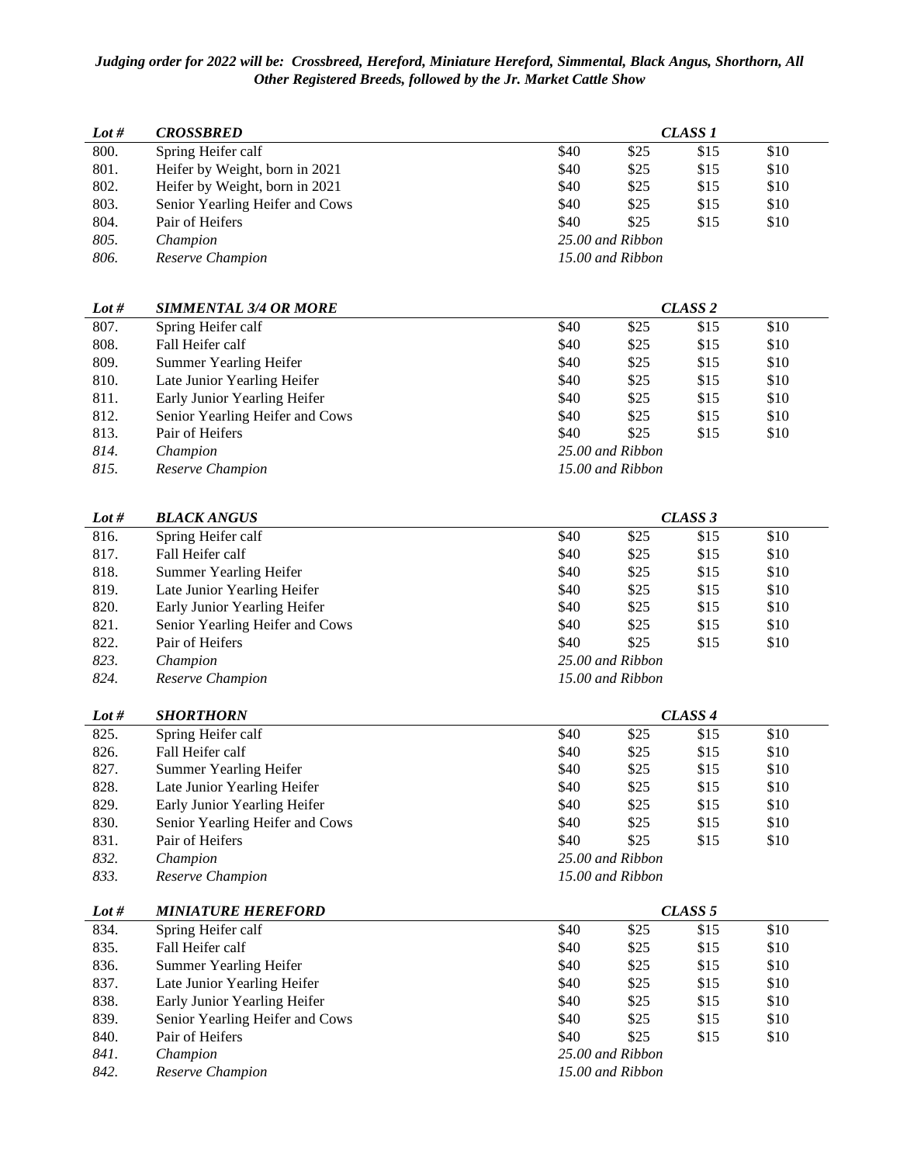# *Judging order for 2022 will be: Crossbreed, Hereford, Miniature Hereford, Simmental, Black Angus, Shorthorn, All Other Registered Breeds, followed by the Jr. Market Cattle Show*

| Lot # | <b>CROSSBRED</b>                | CLASS <sub>1</sub> |                  |      |      |
|-------|---------------------------------|--------------------|------------------|------|------|
| 800.  | Spring Heifer calf              | \$40               | \$25             | \$15 | \$10 |
| 801.  | Heifer by Weight, born in 2021  | \$40               | \$25             | \$15 | \$10 |
| 802.  | Heifer by Weight, born in 2021  | \$40               | \$25             | \$15 | \$10 |
| 803.  | Senior Yearling Heifer and Cows | \$40               | \$25             | \$15 | \$10 |
| 804.  | Pair of Heifers                 | \$40               | \$25             | \$15 | \$10 |
| 805.  | Champion                        | 25.00 and Ribbon   |                  |      |      |
| 806.  | Reserve Champion                |                    | 15.00 and Ribbon |      |      |

| Lot # | <b>SIMMENTAL 3/4 OR MORE</b>    | CLASS <sub>2</sub> |                  |      |      |
|-------|---------------------------------|--------------------|------------------|------|------|
| 807.  | Spring Heifer calf              | \$40               | \$25             | \$15 | \$10 |
| 808.  | Fall Heifer calf                | \$40               | \$25             | \$15 | \$10 |
| 809.  | Summer Yearling Heifer          | \$40               | \$25             | \$15 | \$10 |
| 810.  | Late Junior Yearling Heifer     | \$40               | \$25             | \$15 | \$10 |
| 811.  | Early Junior Yearling Heifer    | \$40               | \$25             | \$15 | \$10 |
| 812.  | Senior Yearling Heifer and Cows | \$40               | \$25             | \$15 | \$10 |
| 813.  | Pair of Heifers                 | \$40               | \$25             | \$15 | \$10 |
| 814.  | Champion                        |                    | 25.00 and Ribbon |      |      |
| 815.  | Reserve Champion                |                    | 15.00 and Ribbon |      |      |

| Lot # | <b>BLACK ANGUS</b>              | CLASS 3 |                  |      |      |
|-------|---------------------------------|---------|------------------|------|------|
| 816.  | Spring Heifer calf              | \$40    | \$25             | \$15 | \$10 |
| 817.  | Fall Heifer calf                | \$40    | \$25             | \$15 | \$10 |
| 818.  | <b>Summer Yearling Heifer</b>   | \$40    | \$25             | \$15 | \$10 |
| 819.  | Late Junior Yearling Heifer     | \$40    | \$25             | \$15 | \$10 |
| 820.  | Early Junior Yearling Heifer    | \$40    | \$25             | \$15 | \$10 |
| 821.  | Senior Yearling Heifer and Cows | \$40    | \$25             | \$15 | \$10 |
| 822.  | Pair of Heifers                 | \$40    | \$25             | \$15 | \$10 |
| 823.  | Champion                        |         | 25.00 and Ribbon |      |      |
| 824.  | Reserve Champion                |         | 15.00 and Ribbon |      |      |

| Lot # | <b>SHORTHORN</b>                | CLASS <sub>4</sub> |      |      |      |  |
|-------|---------------------------------|--------------------|------|------|------|--|
| 825.  | Spring Heifer calf              | \$40               | \$25 | \$15 | \$10 |  |
| 826.  | Fall Heifer calf                | \$40               | \$25 | \$15 | \$10 |  |
| 827.  | Summer Yearling Heifer          | \$40               | \$25 | \$15 | \$10 |  |
| 828.  | Late Junior Yearling Heifer     | \$40               | \$25 | \$15 | \$10 |  |
| 829.  | Early Junior Yearling Heifer    | \$40               | \$25 | \$15 | \$10 |  |
| 830.  | Senior Yearling Heifer and Cows | \$40               | \$25 | \$15 | \$10 |  |
| 831.  | Pair of Heifers                 | \$40               | \$25 | \$15 | \$10 |  |
| 832.  | Champion                        | 25.00 and Ribbon   |      |      |      |  |
| 833.  | Reserve Champion                | 15.00 and Ribbon   |      |      |      |  |

| Lot # | <b>MINIATURE HEREFORD</b>       |                  |                  | CLASS <sub>5</sub> |      |
|-------|---------------------------------|------------------|------------------|--------------------|------|
| 834.  | Spring Heifer calf              | \$40             | \$25             | \$15               | \$10 |
| 835.  | Fall Heifer calf                | \$40             | \$25             | \$15               | \$10 |
| 836.  | Summer Yearling Heifer          | \$40             | \$25             | \$15               | \$10 |
| 837.  | Late Junior Yearling Heifer     | \$40             | \$25             | \$15               | \$10 |
| 838.  | Early Junior Yearling Heifer    | \$40             | \$25             | \$15               | \$10 |
| 839.  | Senior Yearling Heifer and Cows | \$40             | \$25             | \$15               | \$10 |
| 840.  | Pair of Heifers                 | \$40             | \$25             | \$15               | \$10 |
| 841.  | Champion                        | 25.00 and Ribbon |                  |                    |      |
| 842.  | Reserve Champion                |                  | 15.00 and Ribbon |                    |      |